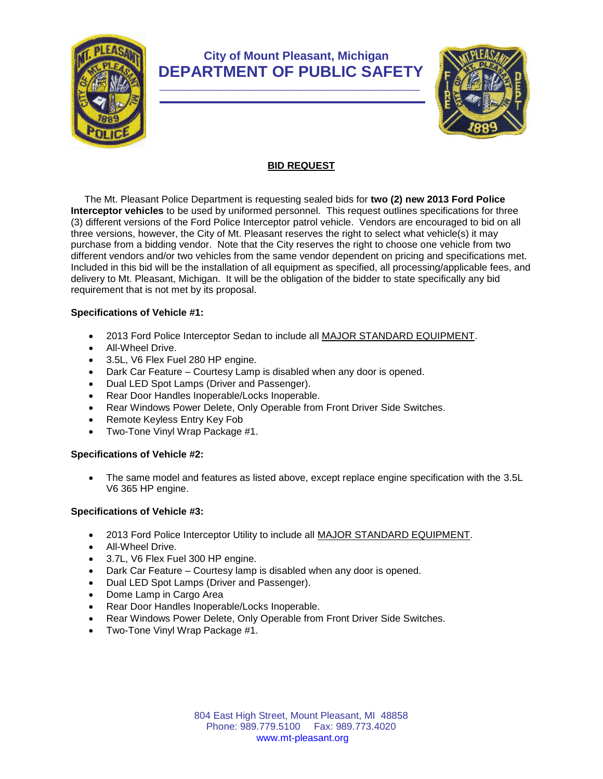

# **City of Mount Pleasant, Michigan DEPARTMENT OF PUBLIC SAFETY**



## **BID REQUEST**

 The Mt. Pleasant Police Department is requesting sealed bids for **two (2) new 2013 Ford Police Interceptor vehicles** to be used by uniformed personnel. This request outlines specifications for three (3) different versions of the Ford Police Interceptor patrol vehicle. Vendors are encouraged to bid on all three versions, however, the City of Mt. Pleasant reserves the right to select what vehicle(s) it may purchase from a bidding vendor. Note that the City reserves the right to choose one vehicle from two different vendors and/or two vehicles from the same vendor dependent on pricing and specifications met. Included in this bid will be the installation of all equipment as specified, all processing/applicable fees, and delivery to Mt. Pleasant, Michigan. It will be the obligation of the bidder to state specifically any bid requirement that is not met by its proposal.

### **Specifications of Vehicle #1:**

- 2013 Ford Police Interceptor Sedan to include all MAJOR STANDARD EQUIPMENT.
- All-Wheel Drive.
- 3.5L, V6 Flex Fuel 280 HP engine.
- Dark Car Feature Courtesy Lamp is disabled when any door is opened.
- Dual LED Spot Lamps (Driver and Passenger).
- Rear Door Handles Inoperable/Locks Inoperable.
- Rear Windows Power Delete, Only Operable from Front Driver Side Switches.
- Remote Keyless Entry Key Fob
- Two-Tone Vinyl Wrap Package #1.

### **Specifications of Vehicle #2:**

 The same model and features as listed above, except replace engine specification with the 3.5L V6 365 HP engine.

### **Specifications of Vehicle #3:**

- 2013 Ford Police Interceptor Utility to include all MAJOR STANDARD EQUIPMENT.
- All-Wheel Drive.
- 3.7L, V6 Flex Fuel 300 HP engine.
- Dark Car Feature Courtesy lamp is disabled when any door is opened.
- Dual LED Spot Lamps (Driver and Passenger).
- Dome Lamp in Cargo Area
- Rear Door Handles Inoperable/Locks Inoperable.
- Rear Windows Power Delete, Only Operable from Front Driver Side Switches.
- Two-Tone Vinyl Wrap Package #1.

804 East High Street, Mount Pleasant, MI 48858 Phone: 989.779.5100 Fax: 989.773.4020 www.mt-pleasant.org